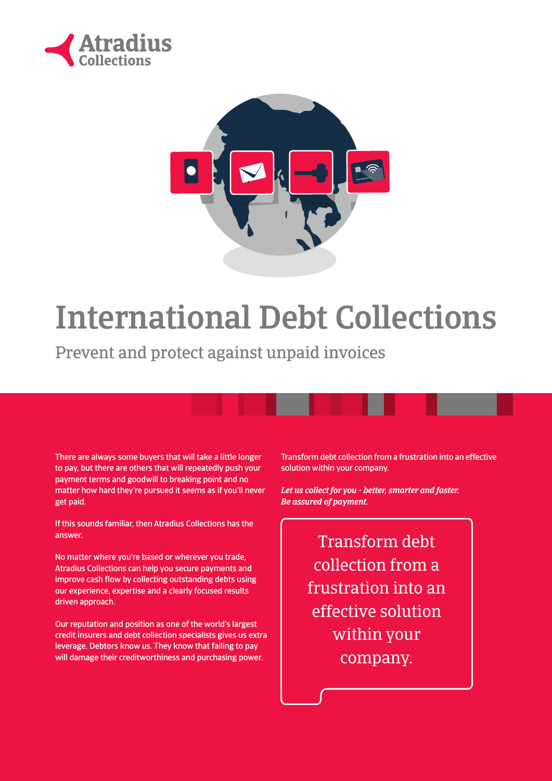



# International Debt Collections

Prevent and protect against unpaid invoices

There are always some buyers that will take a little longer to pay, but there are others that will repeatedly push your payment terms and goodwill to breaking point and no matter how hard they're pursued it seems as if you'll never get paid.

If this sounds familiar, then Atradius Collections has the answer.

No matter where you're based or wherever you trade, Atradius Collections can help you secure payments and improve cash flow by collecting outstanding debts using our experience, expertise and a clearly focused results driven approach.

Our reputation and position as one of the world's largest credit insurers and debt collection specialists gives us extra leverage. Debtors know us. They know that failing to pay will damage their creditworthiness and purchasing power.

Transform debt collection from a frustration into an effective solution within your company.

*Let us collect for you - better, smarter and faster. Be assured of payment.*

> Transform debt collection from a frustration into an effective solution within your company.